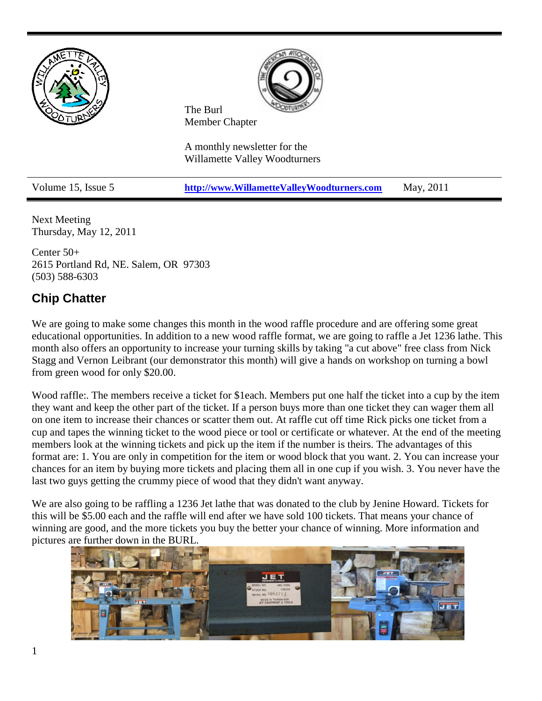

Next Meeting Thursday, May 12, 2011

Center 50+ 2615 Portland Rd, NE. Salem, OR 97303 (503) 588-6303

# **Chip Chatter**

We are going to make some changes this month in the wood raffle procedure and are offering some great educational opportunities. In addition to a new wood raffle format, we are going to raffle a Jet 1236 lathe. This month also offers an opportunity to increase your turning skills by taking "a cut above" free class from Nick Stagg and Vernon Leibrant (our demonstrator this month) will give a hands on workshop on turning a bowl from green wood for only \$20.00.

Wood raffle:. The members receive a ticket for \$1each. Members put one half the ticket into a cup by the item they want and keep the other part of the ticket. If a person buys more than one ticket they can wager them all on one item to increase their chances or scatter them out. At raffle cut off time Rick picks one ticket from a cup and tapes the winning ticket to the wood piece or tool or certificate or whatever. At the end of the meeting members look at the winning tickets and pick up the item if the number is theirs. The advantages of this format are: 1. You are only in competition for the item or wood block that you want. 2. You can increase your chances for an item by buying more tickets and placing them all in one cup if you wish. 3. You never have the last two guys getting the crummy piece of wood that they didn't want anyway.

We are also going to be raffling a 1236 Jet lathe that was donated to the club by Jenine Howard. Tickets for this will be \$5.00 each and the raffle will end after we have sold 100 tickets. That means your chance of winning are good, and the more tickets you buy the better your chance of winning. More information and pictures are further down in the BURL.

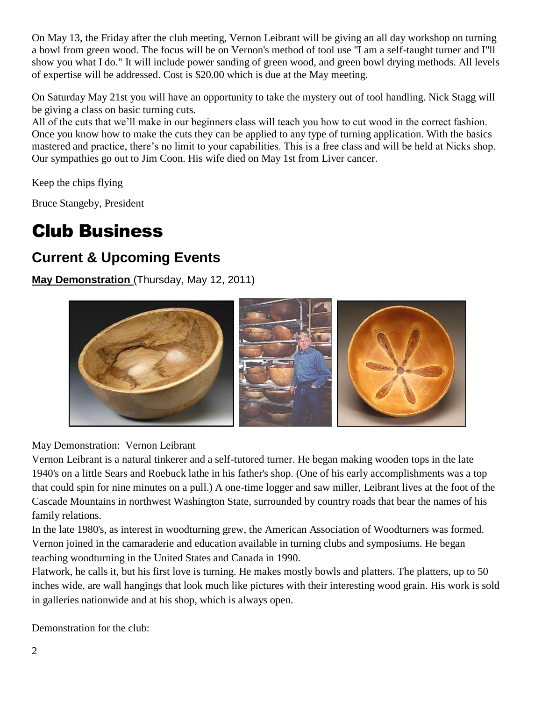On May 13, the Friday after the club meeting, Vernon Leibrant will be giving an all day workshop on turning a bowl from green wood. The focus will be on Vernon's method of tool use "I am a self-taught turner and I"ll show you what I do." It will include power sanding of green wood, and green bowl drying methods. All levels of expertise will be addressed. Cost is \$20.00 which is due at the May meeting.

On Saturday May 21st you will have an opportunity to take the mystery out of tool handling. Nick Stagg will be giving a class on basic turning cuts.

All of the cuts that we'll make in our beginners class will teach you how to cut wood in the correct fashion. Once you know how to make the cuts they can be applied to any type of turning application. With the basics mastered and practice, there's no limit to your capabilities. This is a free class and will be held at Nicks shop. Our sympathies go out to Jim Coon. His wife died on May 1st from Liver cancer.

Keep the chips flying

Bruce Stangeby, President

# Club Business

# **Current & Upcoming Events**

**May Demonstration** (Thursday, May 12, 2011)



May Demonstration: Vernon Leibrant

Vernon Leibrant is a natural tinkerer and a self-tutored turner. He began making wooden tops in the late 1940's on a little Sears and Roebuck lathe in his father's shop. (One of his early accomplishments was a top that could spin for nine minutes on a pull.) A one-time logger and saw miller, Leibrant lives at the foot of the Cascade Mountains in northwest Washington State, surrounded by country roads that bear the names of his family relations.

In the late 1980's, as interest in woodturning grew, the American Association of Woodturners was formed. Vernon joined in the camaraderie and education available in turning clubs and symposiums. He began teaching woodturning in the United States and Canada in 1990.

Flatwork, he calls it, but his first love is turning. He makes mostly bowls and platters. The platters, up to 50 inches wide, are wall hangings that look much like pictures with their interesting wood grain. His work is sold in galleries nationwide and at his shop, which is always open.

Demonstration for the club: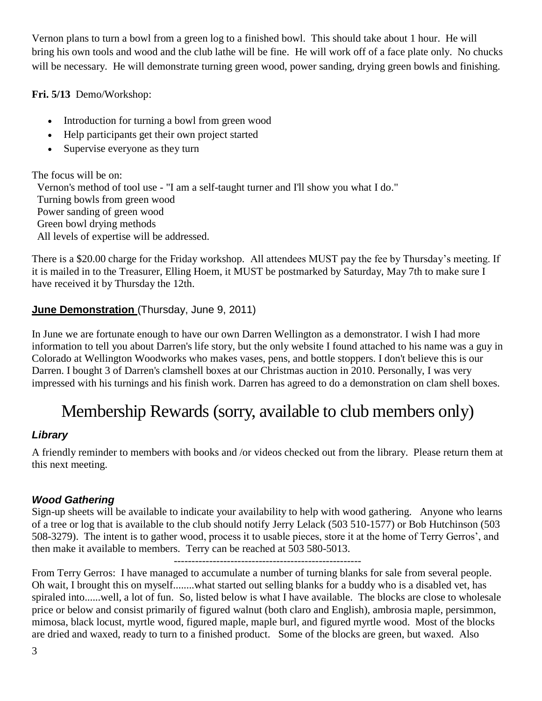Vernon plans to turn a bowl from a green log to a finished bowl. This should take about 1 hour. He will bring his own tools and wood and the club lathe will be fine. He will work off of a face plate only. No chucks will be necessary. He will demonstrate turning green wood, power sanding, drying green bowls and finishing.

**Fri. 5/13** Demo/Workshop:

- Introduction for turning a bowl from green wood
- Help participants get their own project started
- Supervise everyone as they turn

The focus will be on: Vernon's method of tool use - "I am a self-taught turner and I'll show you what I do." Turning bowls from green wood Power sanding of green wood Green bowl drying methods All levels of expertise will be addressed.

There is a \$20.00 charge for the Friday workshop. All attendees MUST pay the fee by Thursday's meeting. If it is mailed in to the Treasurer, Elling Hoem, it MUST be postmarked by Saturday, May 7th to make sure I have received it by Thursday the 12th.

## **June Demonstration** (Thursday, June 9, 2011)

In June we are fortunate enough to have our own Darren Wellington as a demonstrator. I wish I had more information to tell you about Darren's life story, but the only website I found attached to his name was a guy in Colorado at Wellington Woodworks who makes vases, pens, and bottle stoppers. I don't believe this is our Darren. I bought 3 of Darren's clamshell boxes at our Christmas auction in 2010. Personally, I was very impressed with his turnings and his finish work. Darren has agreed to do a demonstration on clam shell boxes.

# Membership Rewards (sorry, available to club members only)

## *Library*

A friendly reminder to members with books and /or videos checked out from the library. Please return them at this next meeting.

## *Wood Gathering*

Sign-up sheets will be available to indicate your availability to help with wood gathering. Anyone who learns of a tree or log that is available to the club should notify Jerry Lelack (503 510-1577) or Bob Hutchinson (503 508-3279). The intent is to gather wood, process it to usable pieces, store it at the home of Terry Gerros', and then make it available to members. Terry can be reached at 503 580-5013.

-----------------------------------------------------

From Terry Gerros: I have managed to accumulate a number of turning blanks for sale from several people. Oh wait, I brought this on myself........what started out selling blanks for a buddy who is a disabled vet, has spiraled into......well, a lot of fun. So, listed below is what I have available. The blocks are close to wholesale price or below and consist primarily of figured walnut (both claro and English), ambrosia maple, persimmon, mimosa, black locust, myrtle wood, figured maple, maple burl, and figured myrtle wood. Most of the blocks are dried and waxed, ready to turn to a finished product. Some of the blocks are green, but waxed. Also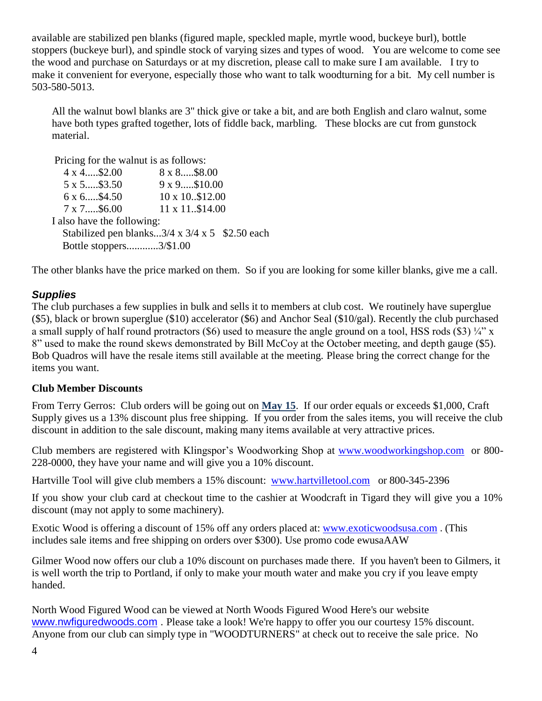available are stabilized pen blanks (figured maple, speckled maple, myrtle wood, buckeye burl), bottle stoppers (buckeye burl), and spindle stock of varying sizes and types of wood. You are welcome to come see the wood and purchase on Saturdays or at my discretion, please call to make sure I am available. I try to make it convenient for everyone, especially those who want to talk woodturning for a bit. My cell number is 503-580-5013.

All the walnut bowl blanks are 3" thick give or take a bit, and are both English and claro walnut, some have both types grafted together, lots of fiddle back, marbling. These blocks are cut from gunstock material.

Pricing for the walnut is as follows:

| $4 \times 4$ \$2.00        | $8 \times 8 \dots .58.00$                                   |
|----------------------------|-------------------------------------------------------------|
| 5 x 5\$3.50                | 9 x 9\$10.00                                                |
| 6 x 6\$4.50                | 10 x 10\$12.00                                              |
| $7 \times 7 \dots .56.00$  | 11 x 11\$14.00                                              |
| I also have the following: |                                                             |
|                            | Stabilized pen blanks $3/4 \times 3/4 \times 5$ \$2.50 each |
| Bottle stoppers3/\$1.00    |                                                             |

The other blanks have the price marked on them. So if you are looking for some killer blanks, give me a call.

### *Supplies*

The club purchases a few supplies in bulk and sells it to members at club cost. We routinely have superglue (\$5), black or brown superglue (\$10) accelerator (\$6) and Anchor Seal (\$10/gal). Recently the club purchased a small supply of half round protractors (\$6) used to measure the angle ground on a tool, HSS rods (\$3)  $\frac{1}{4}$ " x 8" used to make the round skews demonstrated by Bill McCoy at the October meeting, and depth gauge (\$5). Bob Quadros will have the resale items still available at the meeting. Please bring the correct change for the items you want.

### **Club Member Discounts**

From Terry Gerros: Club orders will be going out on **May 15**. If our order equals or exceeds \$1,000, Craft Supply gives us a 13% discount plus free shipping. If you order from the sales items, you will receive the club discount in addition to the sale discount, making many items available at very attractive prices.

Club members are registered with Klingspor's Woodworking Shop at [www.woodworkingshop.com](http://www.woodworkingshop.com/)or 800- 228-0000, they have your name and will give you a 10% discount.

Hartville Tool will give club members a 15% discount:[www.hartvilletool.com](http://www.hartvilletool.com/)or 800-345-2396

If you show your club card at checkout time to the cashier at Woodcraft in Tigard they will give you a 10% discount (may not apply to some machinery).

Exotic Wood is offering a discount of 15% off any orders placed at: [www.exoticwoodsusa.com](http://www.exoticwoodsusa.com/) . (This includes sale items and free shipping on orders over \$300). Use promo code ewusaAAW

Gilmer Wood now offers our club a 10% discount on purchases made there. If you haven't been to Gilmers, it is well worth the trip to Portland, if only to make your mouth water and make you cry if you leave empty handed.

North Wood Figured Wood can be viewed at North Woods Figured Wood Here's our website [www.nwfiguredwoods.com](http://www.nwfiguredwoods.com/) . Please take a look! We're happy to offer you our courtesy 15% discount. Anyone from our club can simply type in "WOODTURNERS" at check out to receive the sale price. No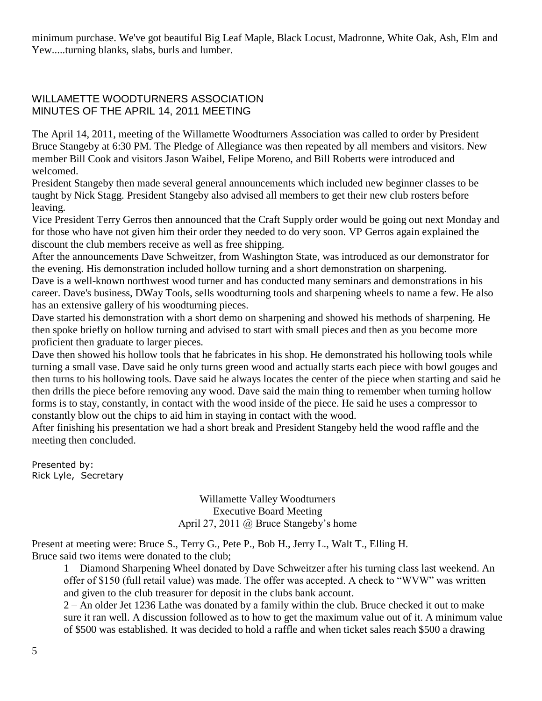minimum purchase. We've got beautiful Big Leaf Maple, Black Locust, Madronne, White Oak, Ash, Elm and Yew.....turning blanks, slabs, burls and lumber.

#### WILLAMETTE WOODTURNERS ASSOCIATION MINUTES OF THE APRIL 14, 2011 MEETING

The April 14, 2011, meeting of the Willamette Woodturners Association was called to order by President Bruce Stangeby at 6:30 PM. The Pledge of Allegiance was then repeated by all members and visitors. New member Bill Cook and visitors Jason Waibel, Felipe Moreno, and Bill Roberts were introduced and welcomed.

President Stangeby then made several general announcements which included new beginner classes to be taught by Nick Stagg. President Stangeby also advised all members to get their new club rosters before leaving.

Vice President Terry Gerros then announced that the Craft Supply order would be going out next Monday and for those who have not given him their order they needed to do very soon. VP Gerros again explained the discount the club members receive as well as free shipping.

After the announcements Dave Schweitzer, from Washington State, was introduced as our demonstrator for the evening. His demonstration included hollow turning and a short demonstration on sharpening.

Dave is a well-known northwest wood turner and has conducted many seminars and demonstrations in his career. Dave's business, DWay Tools, sells woodturning tools and sharpening wheels to name a few. He also has an extensive gallery of his woodturning pieces.

Dave started his demonstration with a short demo on sharpening and showed his methods of sharpening. He then spoke briefly on hollow turning and advised to start with small pieces and then as you become more proficient then graduate to larger pieces.

Dave then showed his hollow tools that he fabricates in his shop. He demonstrated his hollowing tools while turning a small vase. Dave said he only turns green wood and actually starts each piece with bowl gouges and then turns to his hollowing tools. Dave said he always locates the center of the piece when starting and said he then drills the piece before removing any wood. Dave said the main thing to remember when turning hollow forms is to stay, constantly, in contact with the wood inside of the piece. He said he uses a compressor to constantly blow out the chips to aid him in staying in contact with the wood.

After finishing his presentation we had a short break and President Stangeby held the wood raffle and the meeting then concluded.

Presented by: Rick Lyle, Secretary

> Willamette Valley Woodturners Executive Board Meeting April 27, 2011 @ Bruce Stangeby's home

Present at meeting were: Bruce S., Terry G., Pete P., Bob H., Jerry L., Walt T., Elling H. Bruce said two items were donated to the club;

1 – Diamond Sharpening Wheel donated by Dave Schweitzer after his turning class last weekend. An offer of \$150 (full retail value) was made. The offer was accepted. A check to "WVW" was written and given to the club treasurer for deposit in the clubs bank account.

2 – An older Jet 1236 Lathe was donated by a family within the club. Bruce checked it out to make sure it ran well. A discussion followed as to how to get the maximum value out of it. A minimum value of \$500 was established. It was decided to hold a raffle and when ticket sales reach \$500 a drawing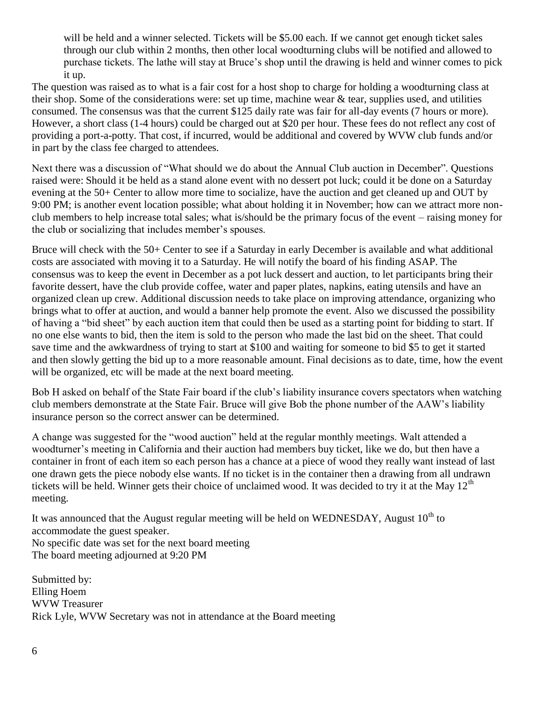will be held and a winner selected. Tickets will be \$5.00 each. If we cannot get enough ticket sales through our club within 2 months, then other local woodturning clubs will be notified and allowed to purchase tickets. The lathe will stay at Bruce's shop until the drawing is held and winner comes to pick it up.

The question was raised as to what is a fair cost for a host shop to charge for holding a woodturning class at their shop. Some of the considerations were: set up time, machine wear  $\&$  tear, supplies used, and utilities consumed. The consensus was that the current \$125 daily rate was fair for all-day events (7 hours or more). However, a short class (1-4 hours) could be charged out at \$20 per hour. These fees do not reflect any cost of providing a port-a-potty. That cost, if incurred, would be additional and covered by WVW club funds and/or in part by the class fee charged to attendees.

Next there was a discussion of "What should we do about the Annual Club auction in December". Questions raised were: Should it be held as a stand alone event with no dessert pot luck; could it be done on a Saturday evening at the 50+ Center to allow more time to socialize, have the auction and get cleaned up and OUT by 9:00 PM; is another event location possible; what about holding it in November; how can we attract more nonclub members to help increase total sales; what is/should be the primary focus of the event – raising money for the club or socializing that includes member's spouses.

Bruce will check with the 50+ Center to see if a Saturday in early December is available and what additional costs are associated with moving it to a Saturday. He will notify the board of his finding ASAP. The consensus was to keep the event in December as a pot luck dessert and auction, to let participants bring their favorite dessert, have the club provide coffee, water and paper plates, napkins, eating utensils and have an organized clean up crew. Additional discussion needs to take place on improving attendance, organizing who brings what to offer at auction, and would a banner help promote the event. Also we discussed the possibility of having a "bid sheet" by each auction item that could then be used as a starting point for bidding to start. If no one else wants to bid, then the item is sold to the person who made the last bid on the sheet. That could save time and the awkwardness of trying to start at \$100 and waiting for someone to bid \$5 to get it started and then slowly getting the bid up to a more reasonable amount. Final decisions as to date, time, how the event will be organized, etc will be made at the next board meeting.

Bob H asked on behalf of the State Fair board if the club's liability insurance covers spectators when watching club members demonstrate at the State Fair. Bruce will give Bob the phone number of the AAW's liability insurance person so the correct answer can be determined.

A change was suggested for the "wood auction" held at the regular monthly meetings. Walt attended a woodturner's meeting in California and their auction had members buy ticket, like we do, but then have a container in front of each item so each person has a chance at a piece of wood they really want instead of last one drawn gets the piece nobody else wants. If no ticket is in the container then a drawing from all undrawn tickets will be held. Winner gets their choice of unclaimed wood. It was decided to try it at the May  $12<sup>th</sup>$ meeting.

It was announced that the August regular meeting will be held on WEDNESDAY, August  $10^{th}$  to accommodate the guest speaker. No specific date was set for the next board meeting The board meeting adjourned at 9:20 PM

Submitted by: Elling Hoem WVW Treasurer Rick Lyle, WVW Secretary was not in attendance at the Board meeting